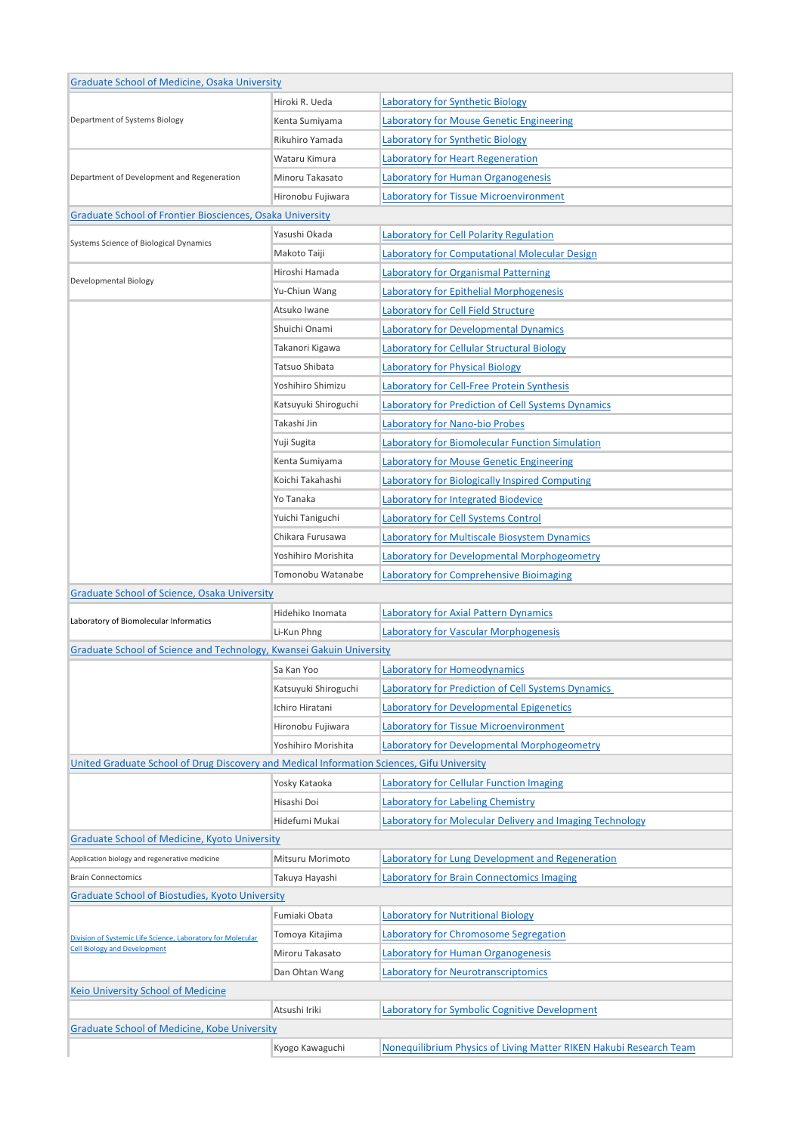| <b>Graduate School of Medicine, Osaka University</b>                                               |                      |                                                                    |
|----------------------------------------------------------------------------------------------------|----------------------|--------------------------------------------------------------------|
|                                                                                                    | Hiroki R. Ueda       | Laboratory for Synthetic Biology                                   |
| Department of Systems Biology                                                                      | Kenta Sumiyama       | <b>Laboratory for Mouse Genetic Engineering</b>                    |
|                                                                                                    | Rikuhiro Yamada      | Laboratory for Synthetic Biology                                   |
|                                                                                                    | Wataru Kimura        | Laboratory for Heart Regeneration                                  |
| Department of Development and Regeneration                                                         | Minoru Takasato      | Laboratory for Human Organogenesis                                 |
|                                                                                                    | Hironobu Fujiwara    | <b>Laboratory for Tissue Microenvironment</b>                      |
| Graduate School of Frontier Biosciences, Osaka University                                          |                      |                                                                    |
|                                                                                                    | Yasushi Okada        | Laboratory for Cell Polarity Regulation                            |
| Systems Science of Biological Dynamics                                                             | Makoto Taiji         | Laboratory for Computational Molecular Design                      |
| Developmental Biology                                                                              | Hiroshi Hamada       | <b>Laboratory for Organismal Patterning</b>                        |
|                                                                                                    | Yu-Chiun Wang        | Laboratory for Epithelial Morphogenesis                            |
|                                                                                                    | Atsuko Iwane         | Laboratory for Cell Field Structure                                |
|                                                                                                    | Shuichi Onami        | Laboratory for Developmental Dynamics                              |
|                                                                                                    | Takanori Kigawa      | Laboratory for Cellular Structural Biology                         |
|                                                                                                    | Tatsuo Shibata       | Laboratory for Physical Biology                                    |
|                                                                                                    | Yoshihiro Shimizu    | Laboratory for Cell-Free Protein Synthesis                         |
|                                                                                                    | Katsuyuki Shiroguchi | Laboratory for Prediction of Cell Systems Dynamics                 |
|                                                                                                    | Takashi Jin          |                                                                    |
|                                                                                                    |                      | Laboratory for Nano-bio Probes                                     |
|                                                                                                    | Yuji Sugita          | Laboratory for Biomolecular Function Simulation                    |
|                                                                                                    | Kenta Sumiyama       | Laboratory for Mouse Genetic Engineering                           |
|                                                                                                    | Koichi Takahashi     | Laboratory for Biologically Inspired Computing                     |
|                                                                                                    | Yo Tanaka            | Laboratory for Integrated Biodevice                                |
|                                                                                                    | Yuichi Taniguchi     | Laboratory for Cell Systems Control                                |
|                                                                                                    | Chikara Furusawa     | Laboratory for Multiscale Biosystem Dynamics                       |
|                                                                                                    | Yoshihiro Morishita  | Laboratory for Developmental Morphogeometry                        |
|                                                                                                    | Tomonobu Watanabe    | Laboratory for Comprehensive Bioimaging                            |
| <b>Graduate School of Science, Osaka University</b>                                                |                      |                                                                    |
| Laboratory of Biomolecular Informatics                                                             | Hidehiko Inomata     | Laboratory for Axial Pattern Dynamics                              |
|                                                                                                    | Li-Kun Phng          | <b>Laboratory for Vascular Morphogenesis</b>                       |
| Graduate School of Science and Technology, Kwansei Gakuin University                               |                      |                                                                    |
|                                                                                                    | Sa Kan Yoo           | <b>Laboratory for Homeodynamics</b>                                |
|                                                                                                    | Katsuyuki Shiroguchi | Laboratory for Prediction of Cell Systems Dynamics                 |
|                                                                                                    | Ichiro Hiratani      | Laboratory for Developmental Epigenetics                           |
|                                                                                                    | Hironobu Fujiwara    | <b>Laboratory for Tissue Microenvironment</b>                      |
|                                                                                                    | Yoshihiro Morishita  | Laboratory for Developmental Morphogeometry                        |
| United Graduate School of Drug Discovery and Medical Information Sciences, Gifu University         |                      |                                                                    |
|                                                                                                    | Yosky Kataoka        | Laboratory for Cellular Function Imaging                           |
|                                                                                                    | Hisashi Doi          | Laboratory for Labeling Chemistry                                  |
|                                                                                                    | Hidefumi Mukai       | Laboratory for Molecular Delivery and Imaging Technology           |
| <b>Graduate School of Medicine, Kyoto University</b>                                               |                      |                                                                    |
| Application biology and regenerative medicine                                                      | Mitsuru Morimoto     | Laboratory for Lung Development and Regeneration                   |
| <b>Brain Connectomics</b>                                                                          | Takuya Hayashi       | <b>Laboratory for Brain Connectomics Imaging</b>                   |
| <b>Graduate School of Biostudies, Kyoto University</b>                                             |                      |                                                                    |
| Division of Systemic Life Science, Laboratory for Molecular<br><b>Cell Biology and Development</b> | Fumiaki Obata        | <b>Laboratory for Nutritional Biology</b>                          |
|                                                                                                    | Tomoya Kitajima      | Laboratory for Chromosome Segregation                              |
|                                                                                                    | Miroru Takasato      | Laboratory for Human Organogenesis                                 |
|                                                                                                    | Dan Ohtan Wang       | <b>Laboratory for Neurotranscriptomics</b>                         |
| Keio University School of Medicine                                                                 |                      |                                                                    |
|                                                                                                    | Atsushi Iriki        | Laboratory for Symbolic Cognitive Development                      |
| <b>Graduate School of Medicine, Kobe University</b>                                                |                      |                                                                    |
|                                                                                                    | Kyogo Kawaguchi      | Nonequilibrium Physics of Living Matter RIKEN Hakubi Research Team |